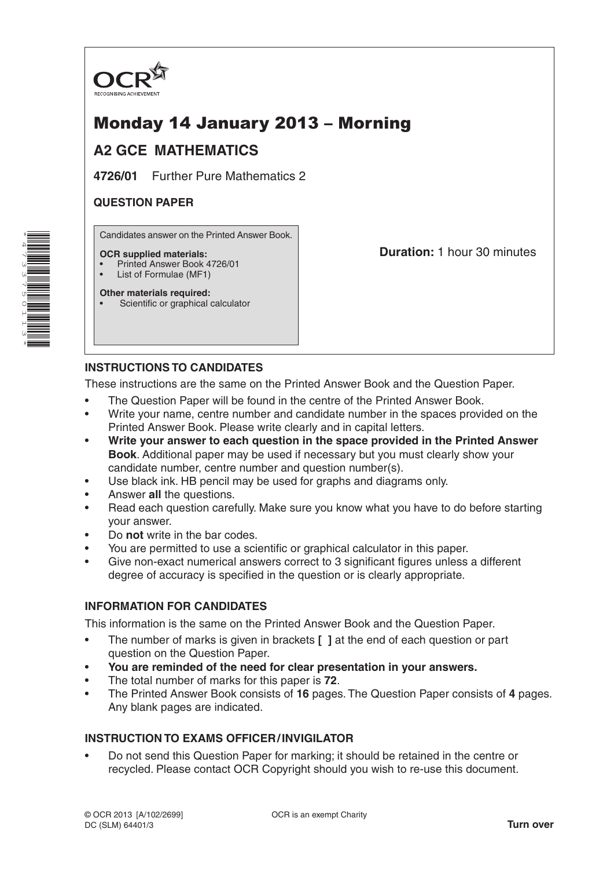

# Monday 14 January 2013 – Morning

# **A2 GCE MATHEMATICS**

**4726/01** Further Pure Mathematics 2

# **QUESTION PAPER**

Candidates answer on the Printed Answer Book.

#### **OCR supplied materials:**

- Printed Answer Book 4726/01
- List of Formulae (MF1) **Other materials required:**

**Duration:** 1 hour 30 minutes

Scientific or graphical calculator

# **INSTRUCTIONS TO CANDIDATES**

These instructions are the same on the Printed Answer Book and the Question Paper.

- The Question Paper will be found in the centre of the Printed Answer Book.
- Write your name, centre number and candidate number in the spaces provided on the Printed Answer Book. Please write clearly and in capital letters.
- **Write your answer to each question in the space provided in the Printed Answer Book**. Additional paper may be used if necessary but you must clearly show your candidate number, centre number and question number(s).
- Use black ink. HB pencil may be used for graphs and diagrams only.
- Answer **all** the questions.
- Read each question carefully. Make sure you know what you have to do before starting your answer.
- Do **not** write in the bar codes.
- You are permitted to use a scientific or graphical calculator in this paper.
- Give non-exact numerical answers correct to 3 significant figures unless a different degree of accuracy is specified in the question or is clearly appropriate.

## **INFORMATION FOR CANDIDATES**

This information is the same on the Printed Answer Book and the Question Paper.

- The number of marks is given in brackets **[ ]** at the end of each question or part question on the Question Paper.
- **You are reminded of the need for clear presentation in your answers.**
- The total number of marks for this paper is **72**.
- The Printed Answer Book consists of **16** pages. The Question Paper consists of **4** pages. Any blank pages are indicated.

## **INSTRUCTION TO EXAMS OFFICER/INVIGILATOR**

• Do not send this Question Paper for marking; it should be retained in the centre or recycled. Please contact OCR Copyright should you wish to re-use this document.

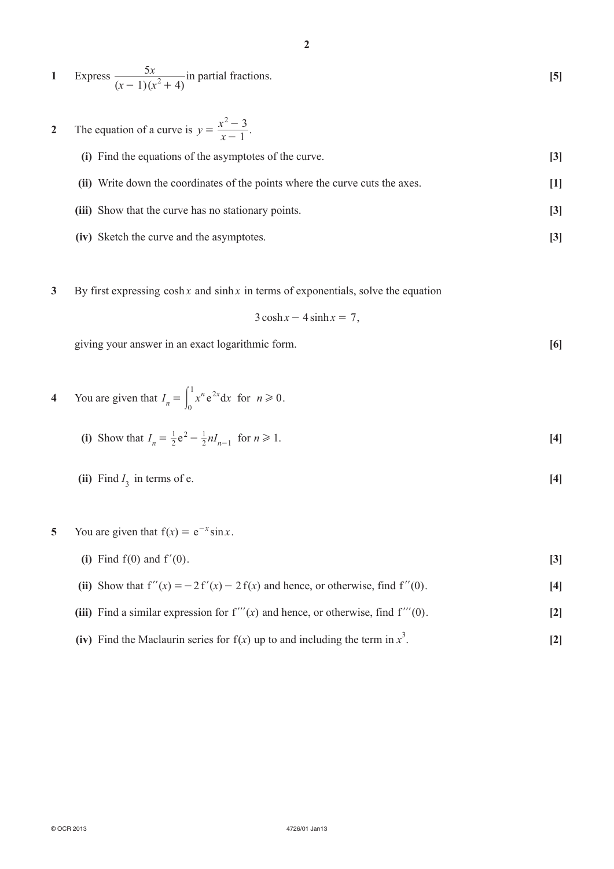| Express $\frac{5x}{(x-1)(x^2+4)}$ in partial fractions.    |  |
|------------------------------------------------------------|--|
| 2 The equation of a curve is $y = \frac{x^2 - 3}{x - 1}$ . |  |

| (i) Find the equations of the asymptotes of the curve.                       | $\left 3\right $  |
|------------------------------------------------------------------------------|-------------------|
| (ii) Write down the coordinates of the points where the curve cuts the axes. | Ш                 |
| (iii) Show that the curve has no stationary points.                          | $\lceil 3 \rceil$ |
| (iv) Sketch the curve and the asymptotes.                                    |                   |

**3** By first expressing cosh *x* and sinh *x* in terms of exponentials, solve the equation

$$
3\cosh x - 4\sinh x = 7,
$$

giving your answer in an exact logarithmic form. **[6]**

4 You are given that 
$$
I_n = \int_0^1 x^n e^{2x} dx
$$
 for  $n \ge 0$ .

(i) Show that 
$$
I_n = \frac{1}{2}e^2 - \frac{1}{2}nI_{n-1}
$$
 for  $n \ge 1$ . [4]

- **(ii)** Find  $I_3$  in terms of e. **[4]**
- **5** You are given that  $f(x) = e^{-x} \sin x$ .
	- **(i)** Find f(0) and f'(0).  $[3]$
	- (ii) Show that  $f''(x) = -2 f'(x) 2 f(x)$  and hence, or otherwise, find  $f''(0)$ . [4]
	- **(iii)** Find a similar expression for  $f'''(x)$  and hence, or otherwise, find  $f'''(0)$ . [2]
- **(iv)** Find the Maclaurin series for  $f(x)$  up to and including the term in  $x^3$ . **[2]**

**2**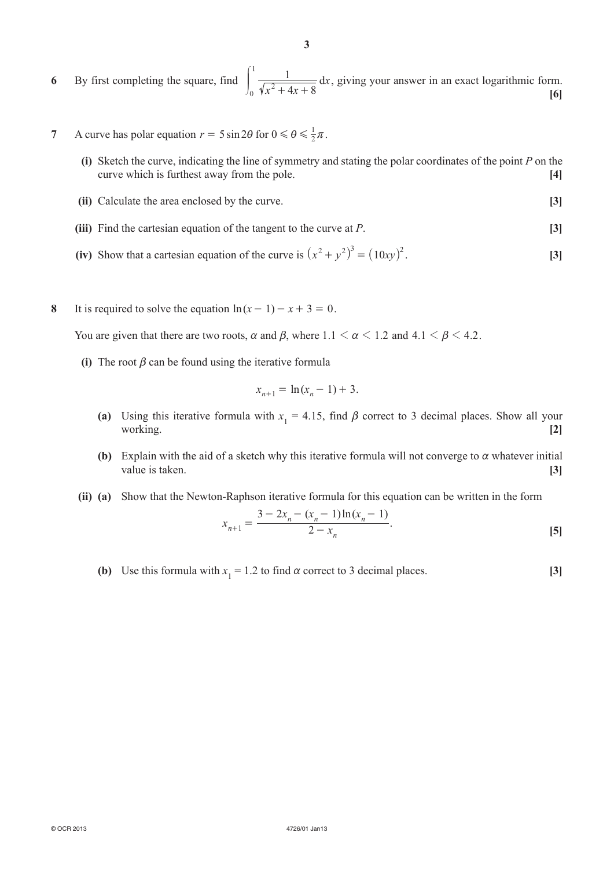**6**  By first completing the square, find  $x^2 + 4x$ *x*  $\int_{0}^{1} \frac{1}{\sqrt{x^2+4x+8}} dx$ 1  $+$  4x +  $\sqrt{ }$  $\overline{J}$  $\frac{1}{\sqrt{2}} dx$ , giving your answer in an exact logarithmic form. **[6]**

- **7** A curve has polar equation  $r = 5 \sin 2\theta$  for  $0 \le \theta \le \frac{1}{2}\pi$ .
	- **(i)** Sketch the curve, indicating the line of symmetry and stating the polar coordinates of the point *P* on the curve which is furthest away from the pole. **[4]**
	- **(ii)** Calculate the area enclosed by the curve. **[3]**
	- *(iii)* Find the cartesian equation of the tangent to the curve at *P*. **[3]**
- **(iv)** Show that a cartesian equation of the curve is  $(x^2 + y^2)^3 = (10xy)^2$ . [3]
- **8** It is required to solve the equation  $ln(x 1) x + 3 = 0$ .

You are given that there are two roots,  $\alpha$  and  $\beta$ , where  $1.1 \le \alpha \le 1.2$  and  $4.1 \le \beta \le 4.2$ .

**(i)** The root  $\beta$  can be found using the iterative formula

$$
x_{n+1} = \ln(x_n - 1) + 3.
$$

- **(a)** Using this iterative formula with  $x_1 = 4.15$ , find  $\beta$  correct to 3 decimal places. Show all your working. **[2]**
	- **(b)** Explain with the aid of a sketch why this iterative formula will not converge to  $\alpha$  whatever initial value is taken. **[3]**
	- **(ii)** (a) Show that the Newton-Raphson iterative formula for this equation can be written in the form

$$
x_{n+1} = \frac{3 - 2x_n - (x_n - 1)\ln(x_n - 1)}{2 - x_n}.
$$
 [5]

**(b)** Use this formula with  $x_1 = 1.2$  to find  $\alpha$  correct to 3 decimal places. **[3]**